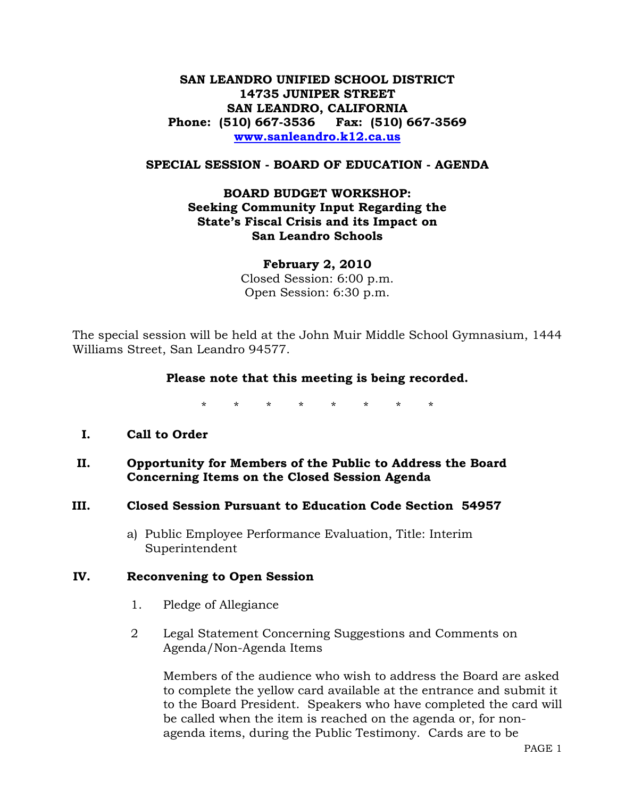# **SAN LEANDRO UNIFIED SCHOOL DISTRICT 14735 JUNIPER STREET SAN LEANDRO, CALIFORNIA Phone: (510) 667-3536 Fax: (510) 667-3569 [www.sanleandro.k12.ca.us](http://www.sanleandro.k12.ca.us/)**

#### **SPECIAL SESSION - BOARD OF EDUCATION - AGENDA**

# **BOARD BUDGET WORKSHOP: Seeking Community Input Regarding the State's Fiscal Crisis and its Impact on San Leandro Schools**

**February 2, 2010**  Closed Session: 6:00 p.m. Open Session: 6:30 p.m.

The special session will be held at the John Muir Middle School Gymnasium, 1444 Williams Street, San Leandro 94577.

#### **Please note that this meeting is being recorded.**

\* \* \* \* \* \* \* \*

### **I. Call to Order**

### **II. Opportunity for Members of the Public to Address the Board Concerning Items on the Closed Session Agenda**

#### **III. Closed Session Pursuant to Education Code Section 54957**

a) Public Employee Performance Evaluation, Title: Interim Superintendent

#### **IV. Reconvening to Open Session**

- 1. Pledge of Allegiance
- 2 Legal Statement Concerning Suggestions and Comments on Agenda/Non-Agenda Items

Members of the audience who wish to address the Board are asked to complete the yellow card available at the entrance and submit it to the Board President. Speakers who have completed the card will be called when the item is reached on the agenda or, for nonagenda items, during the Public Testimony. Cards are to be